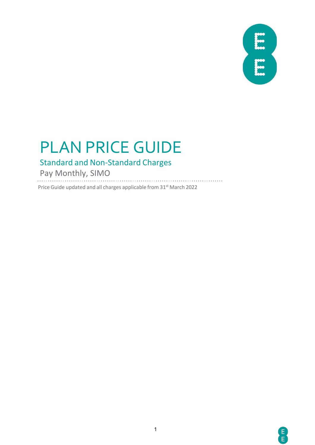# PLAN PRICE GUIDE

### Standard and Non-Standard Charges

Pay Monthly, SIMO

Price Guide updated and all charges applicable from 31<sup>st</sup> March 2022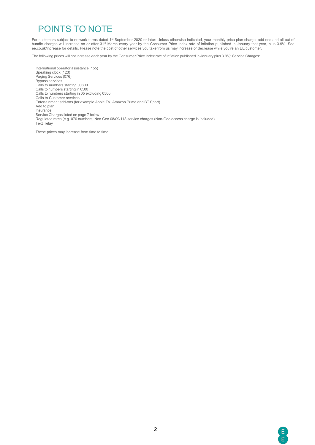### POINTS TO NOTE

For customers subject to network terms dated 1<sup>st</sup> September 2020 or later: Unless otherwise indicated, your monthly price plan charge, add-ons and all out of bundle charges will increase on or after 31st March every year by the Consumer Price Index rate of inflation published in January that year, plus 3.9%. See ee.co.uk/increase for details. Please note the cost of other services you take from us may increase or decrease while you're an EE customer.

The following prices will not increase each year by the Consumer Price Index rate of inflation published in January plus 3.9%: Service Charges:

International operator assistance (155) Speaking clock (123) Paging Services (076) Bypass services Calls to numbers starting 00800 Calls to numbers starting in 0500 Calls to numbers starting in 05 excluding 0500 Calls to Customer services Entertainment add-ons (for example Apple TV, Amazon Prime and BT Sport) Add to plan Insurance Service Charges listed on page 7 below Regulated rates (e.g. 070 numbers, Non Geo 08/09/118 service charges (Non-Geo access charge is included) Text relay

These prices may increase from time to time.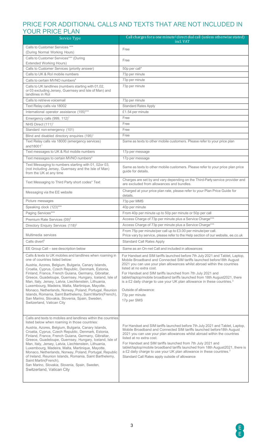### PRICE FOR ADDITIONAL CALLS AND TEXTS THAT ARE NOT INCLUDED IN YOUR PRICE PLAN

| <b>Service Type</b>                                                                                                                                                                                                                                                                                                                                                                                                                                                                                                                                                                                                                                                                      | Call charges for a one minute <sup>2</sup> direct dial call (unless otherwise stated)<br>incl. VAT                                                                                                                                                                                                                                                                                                                                                                                                                                                             |
|------------------------------------------------------------------------------------------------------------------------------------------------------------------------------------------------------------------------------------------------------------------------------------------------------------------------------------------------------------------------------------------------------------------------------------------------------------------------------------------------------------------------------------------------------------------------------------------------------------------------------------------------------------------------------------------|----------------------------------------------------------------------------------------------------------------------------------------------------------------------------------------------------------------------------------------------------------------------------------------------------------------------------------------------------------------------------------------------------------------------------------------------------------------------------------------------------------------------------------------------------------------|
| Calls to Customer Services ***                                                                                                                                                                                                                                                                                                                                                                                                                                                                                                                                                                                                                                                           | Free                                                                                                                                                                                                                                                                                                                                                                                                                                                                                                                                                           |
| (During Normal Working Hours)                                                                                                                                                                                                                                                                                                                                                                                                                                                                                                                                                                                                                                                            |                                                                                                                                                                                                                                                                                                                                                                                                                                                                                                                                                                |
| Calls to Customer Services*** (During<br><b>Extended Working Hours)</b>                                                                                                                                                                                                                                                                                                                                                                                                                                                                                                                                                                                                                  | Free                                                                                                                                                                                                                                                                                                                                                                                                                                                                                                                                                           |
| Calls to Customer Services (priority answer)                                                                                                                                                                                                                                                                                                                                                                                                                                                                                                                                                                                                                                             | 50p per call*                                                                                                                                                                                                                                                                                                                                                                                                                                                                                                                                                  |
| Calls to UK & Rol mobile numbers                                                                                                                                                                                                                                                                                                                                                                                                                                                                                                                                                                                                                                                         | 73p per minute                                                                                                                                                                                                                                                                                                                                                                                                                                                                                                                                                 |
| Calls to certain MVNO numbers <sup>4</sup>                                                                                                                                                                                                                                                                                                                                                                                                                                                                                                                                                                                                                                               | 73p per minute                                                                                                                                                                                                                                                                                                                                                                                                                                                                                                                                                 |
| Calls to UK landlines (numbers starting with 01,02,<br>or 03 excluding Jersey, Guernsey and Isle of Man) and<br>landlines in Rol                                                                                                                                                                                                                                                                                                                                                                                                                                                                                                                                                         | 73p per minute                                                                                                                                                                                                                                                                                                                                                                                                                                                                                                                                                 |
| Calls to retrieve voicemail                                                                                                                                                                                                                                                                                                                                                                                                                                                                                                                                                                                                                                                              | 73p per minute                                                                                                                                                                                                                                                                                                                                                                                                                                                                                                                                                 |
| Text Relay calls via 18002                                                                                                                                                                                                                                                                                                                                                                                                                                                                                                                                                                                                                                                               | <b>Standard Rates Apply</b>                                                                                                                                                                                                                                                                                                                                                                                                                                                                                                                                    |
| International operator assistance (155)***                                                                                                                                                                                                                                                                                                                                                                                                                                                                                                                                                                                                                                               | £1.54 per minute                                                                                                                                                                                                                                                                                                                                                                                                                                                                                                                                               |
| Emergency calls (999, 112) <sup>1</sup>                                                                                                                                                                                                                                                                                                                                                                                                                                                                                                                                                                                                                                                  | Free                                                                                                                                                                                                                                                                                                                                                                                                                                                                                                                                                           |
| NHS Direct (111) <sup>1</sup>                                                                                                                                                                                                                                                                                                                                                                                                                                                                                                                                                                                                                                                            | Free                                                                                                                                                                                                                                                                                                                                                                                                                                                                                                                                                           |
| Standard non-emergency (101)                                                                                                                                                                                                                                                                                                                                                                                                                                                                                                                                                                                                                                                             | Free                                                                                                                                                                                                                                                                                                                                                                                                                                                                                                                                                           |
| Blind and disabled directory enquiries (195) <sup>1</sup>                                                                                                                                                                                                                                                                                                                                                                                                                                                                                                                                                                                                                                | Free                                                                                                                                                                                                                                                                                                                                                                                                                                                                                                                                                           |
| Text Relay calls via 18000 (emergency services)<br>and $180011$                                                                                                                                                                                                                                                                                                                                                                                                                                                                                                                                                                                                                          | Same as texts to other mobile customers. Please refer to your price plan                                                                                                                                                                                                                                                                                                                                                                                                                                                                                       |
| Text messages to UK & Rol mobile numbers                                                                                                                                                                                                                                                                                                                                                                                                                                                                                                                                                                                                                                                 | 17p per message                                                                                                                                                                                                                                                                                                                                                                                                                                                                                                                                                |
| Text messages to certain MVNO numbers <sup>4</sup>                                                                                                                                                                                                                                                                                                                                                                                                                                                                                                                                                                                                                                       | 17p per message                                                                                                                                                                                                                                                                                                                                                                                                                                                                                                                                                |
| Text Messaging to numbers starting with 01, 02or 03,<br>(not including Jersey, Guernsey and the Isle of Man)<br>from the UK at any time                                                                                                                                                                                                                                                                                                                                                                                                                                                                                                                                                  | Same as texts to other mobile customers. Please refer to your price plan price<br>guide for details.                                                                                                                                                                                                                                                                                                                                                                                                                                                           |
| Text Messaging to Third Party short codes* Text                                                                                                                                                                                                                                                                                                                                                                                                                                                                                                                                                                                                                                          | Charges are set by and vary depending on the Third-Party service provider and<br>are excluded from allowances and bundles.                                                                                                                                                                                                                                                                                                                                                                                                                                     |
| Messaging via the EE website                                                                                                                                                                                                                                                                                                                                                                                                                                                                                                                                                                                                                                                             | Charged at your price plan rate, please refer to your Plan Price Guide for<br>details.                                                                                                                                                                                                                                                                                                                                                                                                                                                                         |
| Picture messages                                                                                                                                                                                                                                                                                                                                                                                                                                                                                                                                                                                                                                                                         | 73p per MMS                                                                                                                                                                                                                                                                                                                                                                                                                                                                                                                                                    |
| Speaking clock (123)***                                                                                                                                                                                                                                                                                                                                                                                                                                                                                                                                                                                                                                                                  | 40p per minute                                                                                                                                                                                                                                                                                                                                                                                                                                                                                                                                                 |
| Paging Services***                                                                                                                                                                                                                                                                                                                                                                                                                                                                                                                                                                                                                                                                       | From 40p per minute up to 50p per minute or 50p per call                                                                                                                                                                                                                                                                                                                                                                                                                                                                                                       |
| Premium Rate Services (09) <sup>2</sup>                                                                                                                                                                                                                                                                                                                                                                                                                                                                                                                                                                                                                                                  | Access Charge of 73p per minute plus a Service Charge***                                                                                                                                                                                                                                                                                                                                                                                                                                                                                                       |
| Directory Enquiry Services (118) <sup>2</sup>                                                                                                                                                                                                                                                                                                                                                                                                                                                                                                                                                                                                                                            | Access Charge of 73p per minute plus a Service Charge***                                                                                                                                                                                                                                                                                                                                                                                                                                                                                                       |
| Multimedia services                                                                                                                                                                                                                                                                                                                                                                                                                                                                                                                                                                                                                                                                      | From 75p per minute/per call up to £3.00 per minute/per call.<br>Price vary by service, please refer to the Help section of our website, ee.co.uk                                                                                                                                                                                                                                                                                                                                                                                                              |
| Calls divert <sup>5</sup>                                                                                                                                                                                                                                                                                                                                                                                                                                                                                                                                                                                                                                                                | <b>Standard Call Rates Apply</b>                                                                                                                                                                                                                                                                                                                                                                                                                                                                                                                               |
| EE Group Call - see description below                                                                                                                                                                                                                                                                                                                                                                                                                                                                                                                                                                                                                                                    | Same as an On-net Call and included in allowances                                                                                                                                                                                                                                                                                                                                                                                                                                                                                                              |
| Calls & texts to UK mobiles and landlines when roaming in<br>one of countries listed below:<br>Austria, Azores, Belgium, Bulgaria, Canary Islands,<br>Croatia, Cyprus, Czech Republic, Denmark, Estonia,<br>Finland, France, French Guiana, Germany, Gibraltar,<br>Greece, Guadeloupe, Guernsey, Hungary, Iceland, Isle of<br>Man, Italy, Jersey, Latvia, Liechtenstein, Lithuania,<br>Luxembourg, Madeira, Malta, Martinique, Mayotte,<br>Monaco, Netherlands, Norway, Poland, Portugal, Reunion<br>Islands, Romania, Saint Barthelemy, Saint Martin(French),<br>San Marino, Slovakia, Slovenia, Spain, Sweden,<br>Switzerland, Vatican City                                            | For Handset and SIM tariffs launched before 7th July 2021 and Tablet, Laptop,<br>Mobile Broadband and Connected SIM tariffs launched before18th August<br>2021 you can use your plan allowances whilst abroad within the countries<br>listed at no extra cost.<br>For Handset and SIM tariffs launched from 7th July 2021 and<br>tablet/laptop/mobile broadband tariffs launched from 18th August 2021, there<br>is a £2 daily charge to use your UK plan allowance in these countries. <sup>3</sup><br>Outside of allowance:<br>73p per minute<br>17p per SMS |
| Calls and texts to mobiles and landlines within the countries<br>listed below when roaming in those countries:<br>Austria, Azores, Belgium, Bulgaria, Canary Islands,<br>Croatia, Cyprus, Czech Republic, Denmark, Estonia,<br>Finland, France, French Guiana, Germany, Gibraltar,<br>Greece, Guadeloupe, Guernsey, Hungary, Iceland, Isle of<br>Man, Italy, Jersey, Latvia, Liechtenstein, Lithuania,<br>Luxembourg, Madeira, Malta, Martinique, Mayotte,<br>Monaco, Netherlands, Norway, Poland, Portugal, Republic<br>of Ireland, Reunion Islands, Romania, Saint Barthelemy,<br>Saint Martin(French),<br>San Marino, Slovakia, Slovenia, Spain, Sweden,<br>Switzerland, Vatican City | For Handset and SIM tariffs launched before 7th July 2021 and Tablet, Laptop,<br>Mobile Broadband and Connected SIM tariffs launched before 18th August<br>2021 you can use your plan allowances whilst abroad within the countries<br>listed at no extra cost.<br>For Handset and SIM tariffs launched from 7th July 2021 and<br>tablet/laptop/mobile broadband tariffs launched from 18th August2021, there is<br>a £2 daily charge to use your UK plan allowance in these countries. <sup>3</sup><br>Standard Call Rates apply outside of allowance         |

8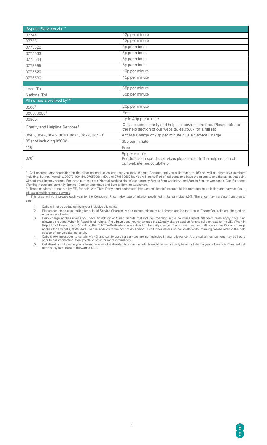| <b>Bypass Services via***</b>                          |                                                                                                                                    |
|--------------------------------------------------------|------------------------------------------------------------------------------------------------------------------------------------|
| 07744                                                  | 12p per minute                                                                                                                     |
| 07755                                                  | 12p per minute                                                                                                                     |
| 0775522                                                | 3p per minute                                                                                                                      |
| 0775533                                                | 5p per minute                                                                                                                      |
| 0775544                                                | 6p per minute                                                                                                                      |
| 0775555                                                | 8p per minute                                                                                                                      |
| 0775520                                                | 10p per minute                                                                                                                     |
| 0775530                                                | 15p per minute                                                                                                                     |
|                                                        |                                                                                                                                    |
| Local Toll                                             | 35p per minute                                                                                                                     |
| National Toll                                          | 35p per minute                                                                                                                     |
| All numbers prefixed by***                             |                                                                                                                                    |
| 0500 <sup>2</sup>                                      | 20p per minute                                                                                                                     |
| 0800, 08082                                            | Free                                                                                                                               |
| 00800                                                  | up to 40p per minute                                                                                                               |
| Charity and Helpline Services <sup>1</sup>             | Calls to some charity and helpline services are free. Please refer to<br>the help section of our website, ee.co.uk for a full list |
| 0843, 0844, 0845, 0870, 0871, 0872, 08733 <sup>2</sup> | Access Charge of 73p per minute plus a Service Charge                                                                              |
| 05 (not including 0500) <sup>2</sup>                   | 35p per minute                                                                                                                     |
| 116                                                    | Free                                                                                                                               |
| 070 <sup>2</sup>                                       | 5p per minute<br>For details on specific services please refer to the help section of<br>our website, ee.co.uk/help                |

\* Call charges vary depending on the other optional selections that you may choose. Charges apply to calls made to 150 as well as alternative numbers including, but not limited to, 07973 100150, 07953966 150, and 07953966250. You will be notified of call costs and have the option to end the call at that point without incurring any charge. For these purposes our 'Normal Working Hours' are currently 8am to 8pm weekdays and 8am to 6pm on weekends. Our 'Extended Working Hours' are currently 8pm to 10pm on weekdays and 6pm to 8pm on weekends.

\*\* These services are not run by EE, for help with Third Party short codes see: [http://ee.co.uk/help/accounts-billing-and-topping-up/billing-and-payment/your](http://ee.co.uk/help/accounts-billing-and-topping-up/billing-and-payment/your-bill-explained/third-party-services)[bill-explained/third-party-services](http://ee.co.uk/help/accounts-billing-and-topping-up/billing-and-payment/your-bill-explained/third-party-services)

\*\*\* This price will not increase each year by the Consumer Price Index rate of inflation published in January plus 3.9%. The price may increase from time to time.

1. Calls will not be deducted from your inclusive allowance.<br>2. Please see ee.co.uk/ukcalling for a list of Service Charge

Please see ee.co.uk/ukcalling for a list of Service Charges. A one-minute minimum call charge applies to all calls. Thereafter, calls are charged on a per minute basis.

3. Daily charge applies unless you have an add-on or Smart Benefit that includes roaming in the countries listed. Standard rates apply once plan allowance is used. When in Republic of Ireland, if you have used your allowance the £2 daily charge applies for any calls or texts to the UK. When in Republic of Ireland, calls & texts to the EU/EEA/Switzerland are subject to the daily charge. If you have used your allowance the £2 daily charge applies for any calls, texts, data used in addition to the cost of an add-on. For further details on call costs whilst roaming please refer to the help section of our website, ee.co.uk.

4. Calls & text messages to certain MVNO and call forwarding services are not included in your allowance. A pre-call announcement may be heard prior to call connection. See 'points to note' for more information.

5. Call divert is included in your allowance where the diverted to a number which would have ordinarily been included in your allowance. Standard call rates apply to outside of allowance calls.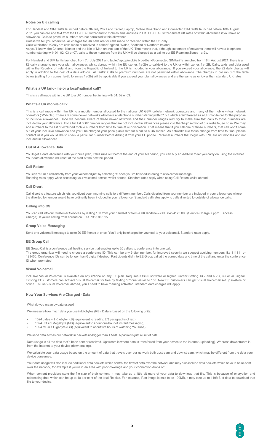#### **Notes on UK calling**

For Handset and SIM tariffs launched before 7th July 2021 and Tablet, Laptop, Mobile Broadband and Connected SIM tariffs launched before 18th August 2021 you can call and text from the EU/EEA/Switzerland to mobiles and landlines in UK, EU/EEA/Switzerland at UK rates or within allowance if you have an allowance. Calls to premium numbers are not permitted within allowance.

Unless we tell you otherwise, all charges for UK calls are for calls made or received within the UK only.

Calls within the UK only are calls made or received in either England, Wales, Scotland or Northern Ireland.

As you'll know, the Channel Islands and the Isle of Man are not part of the UK. That means that, although customers of networks there will have a telephone number starting with 01, 02, 03 or 07, calls to those numbers from the UK will be charged as a call to our EE Roaming Zones 1a-2b.

For Handset and SIM tariffs launched from 7th July 2021 and tablet/laptop/mobile broadband/connected SIM tariffs launched from 18th August 2021: there is a £2 daily charge to use your plan allowances whilst abroad within the EU (zones 1a-2b) to call/text to the UK or within zones 1a- 2B. Calls, texts and data used within the Republic of Ireland and from the Republic of Ireland to the UK is included in your allowance. If you exceed your allowance, the £2 daily charge will apply in addition to the cost of a data add-on. All tariffs: Calls to premium numbers are not permitted within allowance. The charges in column 3 of the table below (calling from zones 1a-2b to zones 1a-2b) will be applicable if you exceed your plan allowances and are the same as or lower than standard UK rates

#### **What's a UK land-line or a local/national call?**

This is a call made within the UK to a UK number beginning with 01, 02 or 03.

#### **What's a UK mobile call?**

This is a call made within the UK to a mobile number allocated to the national UK GSM cellular network operators and many of the mobile virtual network operators ('MVNOs'). There are some newer networks who have a telephone number starting with 07 but which aren't treated as a UK mobile call for the purpose of inclusive allowances. Once we become aware of these newer networks and their number ranges we'll try to make sure that calls to those numbers are included in your allowance. For a full list of 07 number ranges that are not included in allowances please visit the 'help' section of our website, ee.co.uk We may add numbers to the list of excluded mobile numbers from time to time at our discretion. That means that if you call one of those numbers, that call won't come out of your inclusive allowance and you'll be charged your price plan's rate for a call to a UK mobile. As networks like these change from time to time, please contact us if you would like to check a particular number before dialing it from your EE phone. Personal numbers that begin with 070, are not mobiles and not included in allowances.

#### **Out of Allowance Data**

You'll get a data allowance with your price plan, if this runs out before the end of your bill period, you can buy an Add-On to let you carry on using the internet. Your data allowance will reset at the start of the next bill period.

#### **Call Return**

You can return a call directly from your voicemail just by selecting '#' once you've finished listening to a voicemail message. Roaming rates apply when accessing your voicemail service whilst abroad. Standard rates apply when using Call Return whilst abroad.

#### **Call Divert**

Call divert is a feature which lets you divert your incoming calls to a different number. Calls diverted from your number are included in your allowances where the diverted to number would have ordinarily been included in your allowance. Standard call rates apply to calls diverted to outside of allowance calls.

#### **Calling into CS**

You can call into our Customer Services by dialing 150 from your handset or from a UK landline – call 0845 412 5000 (Service Charge 7 ppm + Access Charge). If you're calling from abroad call +44 7953 966 150.

#### **Group Voice Messaging**

Send one voicemail message to up to 20 EE friends at once. You'll only be charged for your call to your voicemail. Standard rates apply

#### **EE Group Call**

EE Group Call is a conference call hosting service that enables up to 20 callers to conference in to one call. The group organizer will need to choose a conference ID. This can be any 6-digit number, for improved security we suggest avoiding numbers like 111111 or 123456. Conference IDs can be longer than 6 digits if desired. Participants dial into EE Group call at the agreed date and time of the call and enter the conference ID when prompted.

#### **Visual Voicemail**

Inclusive Visual Voicemail is available on any iPhone on any EE plan. Requires iOS6.0 software or higher, Carrier Setting 13.2 and a 2G, 3G or 4G signal. Existing EE customers can activate Visual Voicemail for free by texting 'iPhone visual' to 150. New EE customers can get Visual Voicemail set up in-store or online. To use Visual Voicemail abroad, you'll need to have roaming activated: standard data charges will apply.

#### **How Your Services Are Charged - Data**

#### What do you mean by data usage?

We measure how much data you use in kilobytes (KB). Data is based on the following units:

- 1024 bytes = 1 Kilobyte (KB) (equivalent to reading 2/3 paragraphs of text)
- 1024 KB = 1 Megabyte (MB) (equivalent to about one hour of instant messaging)
- 1024 MB = 1 Gigabyte (GB) (equivalent to about five hours of watching YouTube)

We send data across our network in packets no bigger than 1.5KB. A packet is just a unit of data.

Data usage is all the data that's been sent or received. Upstream is where data is transferred from your device to the internet (uploading). Whereas downstream is from the internet to your device (downloading).

We calculate your data usage based on the amount of data that travels over our network both upstream and downstream, which may be different from the data your device consumes.

Your data usage will also include additional data packets which control the flow of data over the network and may also include data packets which have to be re-sent over the network, for example if you're in an area with poor coverage and your connection drops off.

When content providers state the file size of their content, it may take up a little bit more of your data to download that file. This is because of encryption and addressing data which can be up to 10 per cent of the total file size. For instance, if an image is said to be 100MB, it may take up to 110MB of data to download that file to your device.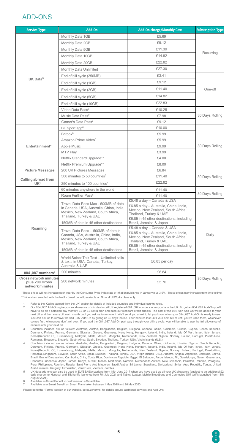### ADD-ONS

| <b>Service Type</b>                                                                             | Add-On                                                                                                                                           | Add-On charge/Monthly Cost                                                                                                                                                        | <b>Subscription Type</b> |  |
|-------------------------------------------------------------------------------------------------|--------------------------------------------------------------------------------------------------------------------------------------------------|-----------------------------------------------------------------------------------------------------------------------------------------------------------------------------------|--------------------------|--|
|                                                                                                 | Monthly Data 1GB                                                                                                                                 | £5.69                                                                                                                                                                             |                          |  |
|                                                                                                 | Monthly Data 2GB                                                                                                                                 | £9.12                                                                                                                                                                             |                          |  |
|                                                                                                 | Monthly Data 5GB                                                                                                                                 | £11.39                                                                                                                                                                            |                          |  |
|                                                                                                 | Monthly Data 10GB                                                                                                                                | £14.82                                                                                                                                                                            | Recurring                |  |
|                                                                                                 | Monthly Data 20GB                                                                                                                                | £22.82                                                                                                                                                                            |                          |  |
| UK Data <sup>5</sup><br>Entertainment*<br><b>Picture Messages</b><br><b>Calling abroad from</b> | Monthly Data Unlimited                                                                                                                           | £27.30                                                                                                                                                                            |                          |  |
|                                                                                                 | End of bill cycle (250MB)                                                                                                                        | £3.41                                                                                                                                                                             |                          |  |
|                                                                                                 | End of bill cycle (1GB)                                                                                                                          | £9.12                                                                                                                                                                             |                          |  |
|                                                                                                 | End of bill cycle (2GB)                                                                                                                          | £11.40                                                                                                                                                                            | One-off                  |  |
|                                                                                                 | End of bill cycle (5GB)                                                                                                                          | £14.82                                                                                                                                                                            |                          |  |
|                                                                                                 | End of bill cycle (10GB)                                                                                                                         | £22.83                                                                                                                                                                            |                          |  |
|                                                                                                 | Video Data Pass <sup>6</sup>                                                                                                                     | £10.25                                                                                                                                                                            |                          |  |
|                                                                                                 | Music Data Pass <sup>7</sup>                                                                                                                     | £7.98                                                                                                                                                                             | 30 Days Rolling          |  |
|                                                                                                 | Gamer's Data Pass <sup>7</sup>                                                                                                                   | £9.12                                                                                                                                                                             |                          |  |
|                                                                                                 | BT Sport app <sup>6</sup>                                                                                                                        | £10.00                                                                                                                                                                            |                          |  |
|                                                                                                 | Britbox <sup>6</sup>                                                                                                                             | £5.99                                                                                                                                                                             | 30 Days Rolling          |  |
|                                                                                                 | Amazon Prime Video <sup>6</sup>                                                                                                                  | £5.99                                                                                                                                                                             |                          |  |
|                                                                                                 | Apple Music                                                                                                                                      | £9.99                                                                                                                                                                             |                          |  |
|                                                                                                 | MTV Play                                                                                                                                         | £3.99                                                                                                                                                                             |                          |  |
|                                                                                                 | Netflix Standard Upgrade**                                                                                                                       | £4.00                                                                                                                                                                             |                          |  |
|                                                                                                 | Netflix Premium Upgrade**<br>£8.00                                                                                                               |                                                                                                                                                                                   |                          |  |
|                                                                                                 | 200 UK Pictures Messages                                                                                                                         | £6.84                                                                                                                                                                             |                          |  |
|                                                                                                 | 500 minutes to 50 countries <sup>3</sup>                                                                                                         | £11.40                                                                                                                                                                            | 30 Days Rolling          |  |
| UK <sup>1</sup>                                                                                 | 250 minutes to 100 countries <sup>4</sup>                                                                                                        | £22.82                                                                                                                                                                            |                          |  |
|                                                                                                 | 60 minutes anywhere in the world                                                                                                                 | £11.40                                                                                                                                                                            |                          |  |
|                                                                                                 | Roam Further Pass <sup>6</sup>                                                                                                                   | £11.40                                                                                                                                                                            | 30 Days Rolling          |  |
|                                                                                                 | Travel Data Pass Max - 500MB of data<br>in Canada, USA, Australia, China, India,<br>Mexico, New Zealand, South Africa,<br>Thailand, Turkey & UAE | £5.48 a day - Canada & USA<br>£6.85 a day - Australia, China, India,<br>Mexico, New Zealand, South Africa,<br>Thailand, Turkey & UAE<br>£6.85 in 45 other destinations, including |                          |  |
|                                                                                                 | 150MB of data in 45 other destinations                                                                                                           | Brazil, Jamaica & Japan                                                                                                                                                           |                          |  |
| Roaming                                                                                         | Travel Data Pass - 500MB of data in<br>Canada, USA, Australia, China, India,<br>Mexico, New Zealand, South Africa,<br>Thailand, Turkey & UAE     | £5.48 a day - Canada & USA<br>£6.85 a day - Australia, China, India,<br>Mexico, New Zealand, South Africa,<br>Thailand, Turkey & UAE<br>£6.85 in 45 other destinations, including | Daily                    |  |
|                                                                                                 | 150MB of data in 45 other destinations                                                                                                           | Brazil, Jamaica & Japan                                                                                                                                                           |                          |  |
|                                                                                                 | World Select Talk Text - Unlimited calls<br>& texts in USA, Canada, Turkey,<br>Australia & UAE                                                   | £6.85 per day                                                                                                                                                                     |                          |  |
| 084,087 numbers <sup>2</sup>                                                                    | 200 minutes                                                                                                                                      | £6.84                                                                                                                                                                             |                          |  |
| <b>Cross network minutes</b><br>plus 200 Cross<br>network minutes                               | 200 network minutes                                                                                                                              | £5.70                                                                                                                                                                             | 30 Days Rolling          |  |

\*These prices will not increase each year by the Consumer Price Index rate of inflation published in January plus 3.9%. These prices may increase from time to time. \*\*Price when selected with the Netflix Smart benefit, available on Smart/Full Works plans only.

Refer to the 'Calling abroad from the UK' section for details of included countries and individual country rates

2. Our 084 ,087 Add-Ons give you an allowance of minutes to call UK registered 084 ,087 numbers when you're in the UK. To get an 084 ,087 Add-On you'll have to be on a selected pay monthly EE or EE Extra plan and pass our standard credit checks. The cost of the 084 ,087 Add-On will be added to your next bill and then every bill each month until you ask us to remove it. We'll send you a text to let you know when your 084 ,087 Add-On is ready to use. You can ask us to remove the 084 ,087 Add-On by giving us 30 days' notice. Your minutes last until your next bill or until you've used them, whichever comes first. Allowances don't roll over. If you add the 084 ,087 Add-On part way through your billing cycle, you will be able to use the full allowance of minutes until your next bill.

3. Countries included are as follows: Australia, Austria, Bangladesh, Belgium, Bulgaria, Canada, China, Colombia, Croatia, Cyprus, Czech Republic, Denmark, Finland, France, Germany, Gibraltar, Greece, Guernsey, Hong Kong, Hungary, Iceland, India, Ireland, Isle Of Man, Israel, Italy, Jersey, Korea(Republic Of), Luxembourg, Malaysia, Malta, Mexico, Mongolia, Netherlands, New Zealand, Nigeria, Norway, Poland, Portugal, Puerto-Rico, Romania, Singapore, Slovakia, South Africa, Spain, Sweden, Thailand, Turkey, USA, Virgin Islands (U.S.).

4. Countries included are as follows: Australia, Austria, Bangladesh, Belgium, Bulgaria, Canada, China, Colombia, Croatia, Cyprus, Czech Republic, Denmark, Finland, France, Germany, Gibraltar, Greece, Guernsey, Hong Kong, Hungary, Iceland, India, Ireland, Isle Of Man, Israel, Italy, Jersey, Korea(Republic Of), Luxembourg, Malaysia, Malta, Mexico, Mongolia, Netherlands, New Zealand, Nigeria, Norway, Poland, Portugal, Puerto-Rico, Romania, Singapore, Slovakia, South Africa, Spain, Sweden, Thailand, Turkey, USA, Virgin Islands (U.S.), Andorra, Angola, Argentina, Bermuda, Bolivia, Brazil, Brunei Darussalam, Cambodia, Chile, Costa Rica, Dominican Republic, Egypt, El Salvador, Faroe Islands, Fiji, Guadeloupe, Guam, Guatemala, Honduras, Indonesia, Japan, Jordan, Kenya, Kuwait, Macao, Martinique, Namibia, Netherlands Antilles, New Caledonia, Pakistan, Panama, Paraguay, Peru, Philippines, Reunion, Russia, Saint Pierre And Miquelon, Saudi Arabia, Sri Lanka, Swaziland, Switzerland, Syrian Arab Republic, Tonga, United Arab Emirates, Uruguay, Uzbekistan, Venezuela, Vietnam, Zambia.

5. UK data add-ons can also be used in EU/EEA/Switzerland from 15th June 2017 when you have used up all your UK allowance (subject to an additional £2 daily charge tor Handset and SIM tariffs launched from 7th July 2021 and Tablet, Laptop, Mobile Broadband and Connected SIM tariffs launched from 18th August 2021). 6. Available as Smart Benefit to customers on a Smart Plan

7. Available as a Smart Benefit on Smart Plans taken between 1 May 2019 and 26 May 2020

Please go to the "Terms" section of our website, ee.co.uk/terms, for details around additional services and Add-Ons.

E)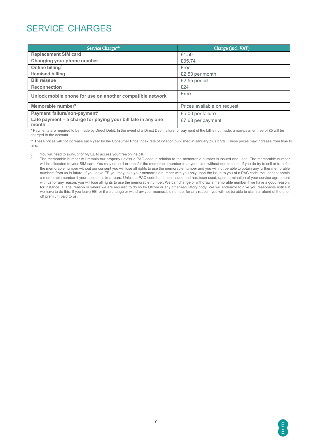## SERVICE CHARGES

| Service Charge**                                                      | Charge (incl. VAT)          |
|-----------------------------------------------------------------------|-----------------------------|
| <b>Replacement SIM card</b>                                           | £1.50                       |
| Changing your phone number                                            | £35.74                      |
| Online billing <sup>8</sup>                                           | Free                        |
| <b>Itemised billing</b>                                               | £2.50 per month             |
| <b>Bill reissue</b>                                                   | £2.55 per bill              |
| <b>Reconnection</b>                                                   | £24                         |
| Unlock mobile phone for use on another compatible network             | Free                        |
| Memorable number <sup>9</sup>                                         | Prices available on request |
| Payment failure/non-payment*                                          | £5.00 per failure           |
| Late payment - a charge for paying your bill late in any one<br>month | £7.68 per payment           |

\* Payments are required to be made by Direct Debit. In the event of a Direct Debit failure, or payment of the bill is not made, a non-payment fee of £5 will be charged to the account.

\*\* These prices will not increase each year by the Consumer Price Index rate of inflation published in January plus 3.9%. These prices may increase from time to time.

8. You will need to sign-up for My EE to access your free online bill.

9. The memorable number will remain our property unless a PAC code in relation to the memorable number is issued and used. The memorable number will be allocated to your SIM card. You may not sell or transfer the memorable number to anyone else without our consent. If you do try to sell or transfer the memorable number without our consent you will lose all rights to use the memorable number and you will not be able to obtain any further memorable numbers from us in future. If you leave EE you may take your memorable number with you only upon the issue to you of a PAC code. You cannot obtain a memorable number if your account is in arrears. Unless a PAC code has been issued and has been used, upon termination of your service agreement with us for any reason, you will lose all rights to use the memorable number. We can change or withdraw a memorable number if we have a good reason, for instance, a legal reason or where we are required to do so by Ofcom or any other regulatory body. We will endeavor to give you reasonable notice if we have to do this. If you leave EE, or if we change or withdraw your memorable number for any reason, you will not be able to claim a refund of the oneoff premium paid to us.

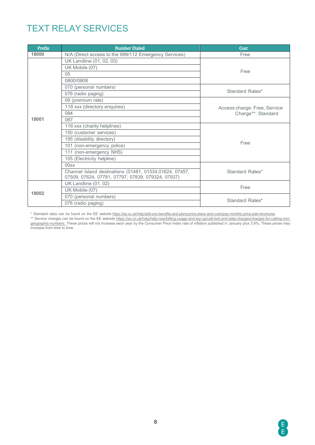### TEXT RELAY SERVICES

| Prefix | <b>Number Dialed</b>                                                                                         | Cost                         |  |  |  |
|--------|--------------------------------------------------------------------------------------------------------------|------------------------------|--|--|--|
| 18000  | N/A (Direct access to the 999/112 Emergency Services)                                                        | Free                         |  |  |  |
|        | UK Landline (01, 02, 03)                                                                                     |                              |  |  |  |
|        | UK Mobile (07)                                                                                               |                              |  |  |  |
|        | 05                                                                                                           | Free                         |  |  |  |
|        | 0800/0808                                                                                                    |                              |  |  |  |
|        | 070 (personal numbers)                                                                                       |                              |  |  |  |
|        | 076 (radio paging)                                                                                           | Standard Rates*              |  |  |  |
|        | 09 (premium rate)                                                                                            |                              |  |  |  |
|        | 118 xxx (directory enquires)                                                                                 | Access charge: Free, Service |  |  |  |
| 18001  | 084                                                                                                          | Charge**: Standard           |  |  |  |
|        | 087                                                                                                          |                              |  |  |  |
|        | 116 xxx (charity helplines)                                                                                  |                              |  |  |  |
|        | 150 (customer services)                                                                                      |                              |  |  |  |
|        | 195 (disability directory)                                                                                   |                              |  |  |  |
|        | 101 (non-emergency police)                                                                                   | Free                         |  |  |  |
|        | 111 (non-emergency NHS)                                                                                      |                              |  |  |  |
|        | 105 (Electricity helpline)                                                                                   |                              |  |  |  |
|        | 00xx                                                                                                         |                              |  |  |  |
|        | Channel Island destinations (01481, 01534,01624, 07457,<br>07509, 07624, 07781, 07797, 07839, 079324, 07937) | Standard Rates*              |  |  |  |
|        | UK Landline (01, 02)                                                                                         |                              |  |  |  |
| 18002  | UK Mobile (07)                                                                                               | Free                         |  |  |  |
|        | 070 (personal numbers)                                                                                       |                              |  |  |  |
|        | 076 (radio paging)                                                                                           | Standard Rates*              |  |  |  |

\* Standard rates can be found on the EE website <https://ee.co.uk/help/add-ons-benefits-and-plans/price-plans-and-costs/pay-monthly-price-plan-brochures>

\*\* Service charges can be found on the EE website [https://ee.co.uk/help/help-new/billing-usage-and-top-up/call-text-and-data-charges/charges-for-calling-non](https://ee.co.uk/help/help-new/billing-usage-and-top-up/call-text-and-data-charges/charges-for-calling-non-geographic-numbers)<u>[geographic-numbers.](https://ee.co.uk/help/help-new/billing-usage-and-top-up/call-text-and-data-charges/charges-for-calling-non-geographic-numbers) </u>These prices will not increase each year by the Consumer Price Index rate of inflation published in January plus 3.9%. These prices may increase from time to time.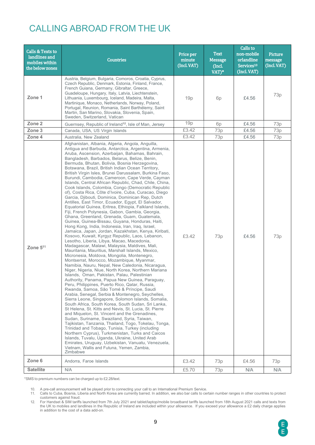### CALLING ABROAD FROM THE UK

| <b>Calls &amp; Texts to</b><br>landlines and<br>mobiles within<br>the below zones | <b>Countries</b>                                                                                                                                                                                                                                                                                                                                                                                                                                                                                                                                                                                                                                                                                                                                                                                                                                                                                                                                                                                                                                                                                                                                                                                                                                                                                                                                                                                                                                                                                                                                                                                                                                                                                                                                                                                                                                                                                                                                                                                                                                                                                                                                                                                                                                                                                                    | Price per<br>minute<br>(Incl. VAT) | <b>Text</b><br><b>Message</b><br>(Incl.<br>VAT)* | Calls to<br>non-mobile<br>orlandline<br>Services <sup>10</sup><br>(Incl. VAT) | Picture<br>message<br>(Incl. VAT) |
|-----------------------------------------------------------------------------------|---------------------------------------------------------------------------------------------------------------------------------------------------------------------------------------------------------------------------------------------------------------------------------------------------------------------------------------------------------------------------------------------------------------------------------------------------------------------------------------------------------------------------------------------------------------------------------------------------------------------------------------------------------------------------------------------------------------------------------------------------------------------------------------------------------------------------------------------------------------------------------------------------------------------------------------------------------------------------------------------------------------------------------------------------------------------------------------------------------------------------------------------------------------------------------------------------------------------------------------------------------------------------------------------------------------------------------------------------------------------------------------------------------------------------------------------------------------------------------------------------------------------------------------------------------------------------------------------------------------------------------------------------------------------------------------------------------------------------------------------------------------------------------------------------------------------------------------------------------------------------------------------------------------------------------------------------------------------------------------------------------------------------------------------------------------------------------------------------------------------------------------------------------------------------------------------------------------------------------------------------------------------------------------------------------------------|------------------------------------|--------------------------------------------------|-------------------------------------------------------------------------------|-----------------------------------|
| Zone 1                                                                            | Austria, Belgium, Bulgaria, Comoros, Croatia, Cyprus,<br>Czech Republic, Denmark, Estonia, Finland, France,<br>French Guiana, Germany, Gibraltar, Greece,<br>Guadeloupe, Hungary, Italy, Latvia, Liechtenstein,<br>Lithuania, Luxembourg, Iceland, Madeira, Malta,<br>Martinique, Monaco, Netherlands, Norway, Poland,<br>Portugal, Reunion, Romania, Saint Barthélemy, Saint<br>Martin, San Marino, Slovakia, Slovenia, Spain,<br>Sweden, Switzerland, Vatican                                                                                                                                                                                                                                                                                                                                                                                                                                                                                                                                                                                                                                                                                                                                                                                                                                                                                                                                                                                                                                                                                                                                                                                                                                                                                                                                                                                                                                                                                                                                                                                                                                                                                                                                                                                                                                                     | 19p                                | 6p                                               | £4.56                                                                         | 73p                               |
| Zone 2                                                                            | Guernsey, Republic of Ireland <sup>12</sup> , Isle of Man, Jersey                                                                                                                                                                                                                                                                                                                                                                                                                                                                                                                                                                                                                                                                                                                                                                                                                                                                                                                                                                                                                                                                                                                                                                                                                                                                                                                                                                                                                                                                                                                                                                                                                                                                                                                                                                                                                                                                                                                                                                                                                                                                                                                                                                                                                                                   | 19p                                | 6p                                               | £4.56                                                                         | 73p                               |
| Zone 3                                                                            | Canada, USA, US Virgin Islands                                                                                                                                                                                                                                                                                                                                                                                                                                                                                                                                                                                                                                                                                                                                                                                                                                                                                                                                                                                                                                                                                                                                                                                                                                                                                                                                                                                                                                                                                                                                                                                                                                                                                                                                                                                                                                                                                                                                                                                                                                                                                                                                                                                                                                                                                      | £3.42                              | 73p                                              | £4.56                                                                         | 73p                               |
| Zone 4                                                                            | Australia, New Zealand                                                                                                                                                                                                                                                                                                                                                                                                                                                                                                                                                                                                                                                                                                                                                                                                                                                                                                                                                                                                                                                                                                                                                                                                                                                                                                                                                                                                                                                                                                                                                                                                                                                                                                                                                                                                                                                                                                                                                                                                                                                                                                                                                                                                                                                                                              | £3.42                              | 73p                                              | £4.56                                                                         | 73p                               |
| Zone $5^{11}$                                                                     | Afghanistan, Albania, Algeria, Angola, Anguilla,<br>Antigua and Barbuda, Antarctica, Argentina, Armenia,<br>Aruba, Ascension, Azerbaijan, Bahamas, Bahrain,<br>Bangladesh, Barbados, Belarus, Belize, Benin,<br>Bermuda, Bhutan, Bolivia, Bosnia Herzegovina,<br>Botswana, Brazil, British Indian Ocean Territory,<br>British Virgin Isles, Brunei Darussalam, Burkina Faso,<br>Burundi, Cambodia, Cameroon, Cape Verde, Cayman<br>Islands, Central African Republic, Chad, Chile, China,<br>Cook Islands, Colombia, Congo (Democratic Republic<br>of), Costa Rica, Côte d'Ivoire, Cuba, Curacao, Diego<br>Garcia, Djibouti, Dominica, Dominican Rep, Dutch<br>Antilles, East Timor, Ecuador, Egypt, El Salvador,<br>Equatorial Guinea, Eritrea, Ethiopia, Falkland Islands,<br>Fiji, French Polynesia, Gabon, Gambia, Georgia,<br>Ghana, Greenland, Grenada, Guam, Guatemala,<br>Guinea, Guinea-Bissau, Guyana, Honduras, Haiti,<br>Hong Kong, India, Indonesia, Iran, Iraq, Israel,<br>Jamaica, Japan, Jordan, Kazakhstan, Kenya, Kiribati,<br>Kosovo, Kuwait, Kyrgyz Republic, Laos, Lebanon,<br>Lesotho, Liberia, Libya, Macao, Macedonia,<br>Madagascar, Malawi, Malaysia, Maldives, Mali,<br>Mauritania, Mauritius, Marshall Islands, Mexico,<br>Micronesia, Moldova, Mongolia, Montenegro,<br>Montserrat, Morocco, Mozambique, Myanmar,<br>Namibia, Nauru, Nepal, New Caledonia, Nicaragua,<br>Niger, Nigeria, Niue, North Korea, Northern Mariana<br>Islands, Oman, Pakistan, Palau, Palestinian<br>Authority, Panama, Papua New Guinea, Paraguay,<br>Peru, Philippines, Puerto Rico, Qatar, Russia,<br>Rwanda, Samoa, São Tomé & Príncipe, Saudi<br>Arabia, Senegal, Serbia & Montenegro, Seychelles,<br>Sierra Leone, Singapore, Solomon Islands, Somalia,<br>South Africa, South Korea, South Sudan, Sri Lanka,<br>St Helena, St. Kitts and Nevis, St. Lucia, St. Pierre<br>and Miquelon, St. Vincent and the Grenadines,<br>Sudan, Suriname, Swaziland, Syria, Taiwan,<br>Tajikistan, Tanzania, Thailand, Togo, Tokelau, Tonga,<br>Trinidad and Tobago, Tunisia, Turkey (including<br>Northern Cyprus), Turkmenistan, Turks and Caicos<br>Islands, Tuvalu, Uganda, Ukraine, United Arab<br>Emirates, Uruguay, Uzbekistan, Vanuatu, Venezuela,<br>Vietnam, Wallis and Futuna, Yemen, Zambia,<br>Zimbabwe | £3.42                              | 73p                                              | £4.56                                                                         | 73p                               |
| Zone 6                                                                            | Andorra, Faroe Islands                                                                                                                                                                                                                                                                                                                                                                                                                                                                                                                                                                                                                                                                                                                                                                                                                                                                                                                                                                                                                                                                                                                                                                                                                                                                                                                                                                                                                                                                                                                                                                                                                                                                                                                                                                                                                                                                                                                                                                                                                                                                                                                                                                                                                                                                                              | £3.42                              | 73p                                              | £4.56                                                                         | 73p                               |
| <b>Satellite</b>                                                                  | N/A                                                                                                                                                                                                                                                                                                                                                                                                                                                                                                                                                                                                                                                                                                                                                                                                                                                                                                                                                                                                                                                                                                                                                                                                                                                                                                                                                                                                                                                                                                                                                                                                                                                                                                                                                                                                                                                                                                                                                                                                                                                                                                                                                                                                                                                                                                                 | £5.70                              | 73p                                              | N/A                                                                           | N/A                               |

\*SMS to premium numbers can be charged up to £2.28/text.

10. A pre-call announcement will be played prior to connecting your call to an International Premium Service.

11. Calls to Cuba, Bosnia, Liberia and North Korea are currently barred. In addition, we also bar calls to certain number ranges in other countries to protect customers against fraud.

<sup>12.</sup> For Handset & SIM tariffs launched from 7th July 2021 and tablet/laptop/mobile broadband tariffs launched from 18th August 2021 calls and texts from the UK to mobiles and landlines in the Republic of Ireland are included within your allowance. If you exceed your allowance a £2 daily charge applies in addition to the cost of a data add-on.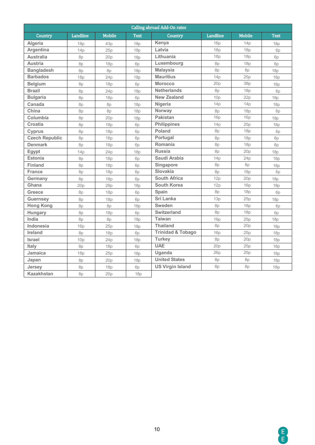| <b>Calling abroad Add-On rates</b> |            |               |             |                              |                 |               |             |  |  |  |
|------------------------------------|------------|---------------|-------------|------------------------------|-----------------|---------------|-------------|--|--|--|
| Country                            | Landline   | <b>Mobile</b> | <b>Text</b> | Country                      | <b>Landline</b> | <b>Mobile</b> | <b>Text</b> |  |  |  |
| Algeria                            | 18p        | 43p           | 18p         | Kenya                        | 16p             | 14p           | 18p         |  |  |  |
| Argentina                          | 14p        | 25p           | 18p         | Latvia                       | 18p             | 18p           | 6p          |  |  |  |
| <b>Australia</b>                   | 8p         | 20p           | 18p         | Lithuania                    | 18p             | 18p           | 6p          |  |  |  |
| <b>Austria</b>                     | 8p         | 18p           | 6p          | Luxembourg                   | 8p              | 18p           | 6p          |  |  |  |
| <b>Bangladesh</b>                  | 8p         | 8p            | 18p         | <b>Malaysia</b>              | 8p              | 8p            | 18p         |  |  |  |
| <b>Barbados</b>                    | 18p        | 24p           | 18p         | <b>Mauritius</b>             | 14p             | 25p           | 18p         |  |  |  |
| <b>Belgium</b>                     | 8p         | 18p           | 6p          | <b>Morocco</b>               | 20p             | 38p           | 18p         |  |  |  |
| <b>Brazil</b>                      | 8p         | 24p           | 18p         | <b>Netherlands</b>           | 8p              | 18p           | 6p          |  |  |  |
| <b>Bulgaria</b>                    | 8p         | 18p           | 6p          | <b>New Zealand</b>           | 10p             | 22p           | 18p         |  |  |  |
| Canada                             | 8p         | 8p            | 18p         | Nigeria                      | 14p             | 14p           | 18p         |  |  |  |
| China                              | 8p         | 8p            | 18p         | Norway                       | 8p              | 18p           | 6p          |  |  |  |
| Columbia                           | 8p         | 20p           | 18p         | <b>Pakistan</b>              | 16p             | <b>16p</b>    | 18p         |  |  |  |
| <b>Croatia</b>                     | 8p         | 18p           | 6p          | <b>Philippines</b>           | 14p             | 25p           | 18p         |  |  |  |
| <b>Cyprus</b>                      | 8p         | 18p           | 6p          | Poland                       | 8p              | 18p           | 6p          |  |  |  |
| <b>Czech Republic</b>              | 8p         | 18p           | 6p          | Portugal                     | 8p              | 18p           | 6p          |  |  |  |
| <b>Denmark</b>                     | 8p         | 18p           | 6p          | <b>Romania</b>               | 8p              | <b>18p</b>    | 6p          |  |  |  |
| Egypt                              | 14p        | 24p           | 18p         | <b>Russia</b>                | 8p              | 20p           | 18p         |  |  |  |
| Estonia                            | 8p         | 18p           | 6p          | Saudi Arabia                 | 14p             | 24p           | 18p         |  |  |  |
| <b>Finland</b>                     | 8p         | 18p           | 6p          | Singapore                    | 8p              | 8p            | <b>18p</b>  |  |  |  |
| <b>France</b>                      | 8p         | <b>18p</b>    | 6p          | Slovakia                     | 8p              | 18p           | 6p          |  |  |  |
| Germany                            | 8p         | 18p           | 6p          | <b>South Africa</b>          | 12p             | 20p           | 18p         |  |  |  |
| Ghana                              | 20p        | 29p           | 18p         | <b>South Korea</b>           | 12p             | 16p           | 18p         |  |  |  |
| <b>Greece</b>                      | 8p         | 18p           | 6p          | Spain                        | 8p              | 18p           | 6p          |  |  |  |
| <b>Guernsey</b>                    | 8p         | 18p           | 6p          | Sri Lanka                    | 13p             | 25p           | 18p         |  |  |  |
| <b>Hong Kong</b>                   | 8p         | 8p            | 18p         | Sweden                       | 8p              | 18p           | 6p          |  |  |  |
| Hungary                            | 8p         | <b>18p</b>    | 6p          | <b>Switzerland</b>           | 8p              | 18p           | 6p          |  |  |  |
| India                              | 8p         | 8p            | 18p         | <b>Taiwan</b>                | 16p             | 25p           | 18p         |  |  |  |
| Indonesia                          | <b>16p</b> | 25p           | 18p         | <b>Thailand</b>              | 8p              | 20p           | 18p         |  |  |  |
| <b>Ireland</b>                     | 8p         | <b>18p</b>    | 6p          | <b>Trinidad &amp; Tobago</b> | 16p             | 25p           | 18p         |  |  |  |
| <b>Israel</b>                      | 10p        | 24p           | 18p         | <b>Turkey</b>                | 8p              | 20p           | 18p         |  |  |  |
| Italy                              | 8p         | <b>18p</b>    | 6p          | <b>UAE</b>                   | 20p             | 25p           | 18p         |  |  |  |
| <b>Jamaica</b>                     | <b>18p</b> | 25p           | 18p         | Uganda                       | 26p             | 25p           | 18p         |  |  |  |
| Japan                              | 8p         | 20p           | 18p         | <b>United States</b>         | 8p              | 8p            | 18p         |  |  |  |
| Jersey                             | 8p         | <b>18p</b>    | 6p          | <b>US Virgin Island</b>      | 8p              | 8p            | <b>18p</b>  |  |  |  |
| <b>Kazakhstan</b>                  | 8p         | 20p           | 18p         |                              |                 |               |             |  |  |  |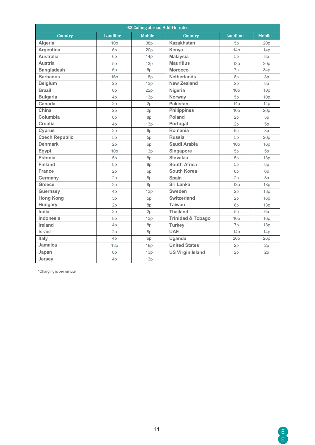| £2 Calling abroad Add-On rates |                |               |                              |                 |               |  |  |  |  |  |
|--------------------------------|----------------|---------------|------------------------------|-----------------|---------------|--|--|--|--|--|
| <b>Country</b>                 | Landline       | <b>Mobile</b> | Country                      | <b>Landline</b> | <b>Mobile</b> |  |  |  |  |  |
| Algeria                        | 10p            | 38p           | <b>Kazakhstan</b>            | 5p              | 20p           |  |  |  |  |  |
| Argentina                      | 6 <sub>p</sub> | 20p           | Kenya                        | 14p             | 14p           |  |  |  |  |  |
| <b>Australia</b>               | 6p             | 14p           | <b>Malaysia</b>              | 5p              | 8p            |  |  |  |  |  |
| <b>Austria</b>                 | 5p             | 13p           | <b>Mauritius</b>             | 13p             | 20p           |  |  |  |  |  |
| <b>Bangladesh</b>              | 6p             | 6p            | <b>Morocco</b>               | 7p              | 34p           |  |  |  |  |  |
| <b>Barbados</b>                | 16p            | 18p           | <b>Netherlands</b>           | 8p              | 8p            |  |  |  |  |  |
| <b>Belgium</b>                 | 2p             | 13p           | <b>New Zealand</b>           | 2p              | 8p            |  |  |  |  |  |
| <b>Brazil</b>                  | 6p             | 22p           | Nigeria                      | 10p             | 10p           |  |  |  |  |  |
| <b>Bulgaria</b>                | 4p             | 13p           | Norway                       | 5p              | 10p           |  |  |  |  |  |
| Canada                         | 2p             | 2p            | <b>Pakistan</b>              | 14p             | 14p           |  |  |  |  |  |
| China                          | 2p             | 2p            | <b>Philippines</b>           | 10p             | 20p           |  |  |  |  |  |
| Columbia                       | 6p             | 8p            | Poland                       | 2p              | 5p            |  |  |  |  |  |
| <b>Croatia</b>                 | 4p             | 13p           | Portugal                     | 2p              | 5p            |  |  |  |  |  |
| <b>Cyprus</b>                  | 2p             | 6p            | Romania                      | 5p              | 8p            |  |  |  |  |  |
| <b>Czech Republic</b>          | 5p             | 5p            | <b>Russia</b>                | 5p              | 20p           |  |  |  |  |  |
| <b>Denmark</b>                 | 2p             | 6p            | Saudi Arabia                 | 10p             | 16p           |  |  |  |  |  |
| Egypt                          | 10p            | 13p           | Singapore                    | 5p              | 5p            |  |  |  |  |  |
| <b>Estonia</b>                 | 5p             | 8p            | Slovakia                     | 5p              | 13p           |  |  |  |  |  |
| <b>Finland</b>                 | 8p             | 8p            | <b>South Africa</b>          | 5p              | 8p            |  |  |  |  |  |
| <b>France</b>                  | 2p             | 6p            | <b>South Korea</b>           | 6p              | 6p            |  |  |  |  |  |
| Germany                        | 2p             | 8p            | Spain                        | 2p              | 8p            |  |  |  |  |  |
| <b>Greece</b>                  | 2p             | 8p            | <b>Sri Lanka</b>             | 13p             | 18p           |  |  |  |  |  |
| <b>Guernsev</b>                | 4p             | 13p           | Sweden                       | 2p              | 13p           |  |  |  |  |  |
| <b>Hong Kong</b>               | 5p             | 5p            | <b>Switzerland</b>           | 2p              | 16p           |  |  |  |  |  |
| Hungary                        | 2p             | 8p            | <b>Taiwan</b>                | 8p              | 13p           |  |  |  |  |  |
| India                          | 2p             | 2p            | <b>Thailand</b>              | 5p              | 6p            |  |  |  |  |  |
| Indonesia                      | 8p             | 13p           | <b>Trinidad &amp; Tobago</b> | 10p             | <b>16p</b>    |  |  |  |  |  |
| Ireland                        | 4p             | 8p            | <b>Turkey</b>                | 7p              | 13p           |  |  |  |  |  |
| Israel                         | 2p             | 8p            | <b>UAE</b>                   | 14p             | 14p           |  |  |  |  |  |
| Italy                          | 4p             | 6p            | Uganda                       | 26p             | 26p           |  |  |  |  |  |
| <b>Jamaica</b>                 | 18p            | 18p           | <b>United States</b>         | 2p              | 2p            |  |  |  |  |  |
| Japan                          | 6p             | 13p           | <b>US Virgin Island</b>      | 2p              | 2p            |  |  |  |  |  |
| <b>Jersev</b>                  | 4p             | 13p           |                              |                 |               |  |  |  |  |  |

\*Charging is per minute.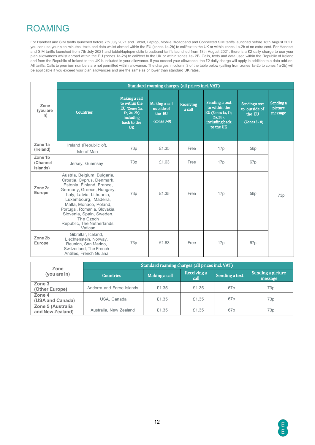## ROAMING

For Handset and SIM tariffs launched before 7th July 2021 and Tablet, Laptop, Mobile Broadband and Connected SIM tariffs launched before 18th August 2021: you can use your plan minutes, texts and data whilst abroad within the EU (zones 1a-2b) to call/text to the UK or within zones 1a-2b at no extra cost. For Handset and SIM tariffs launched from 7th July 2021 and tablet/laptop/mobile broadband tariffs launched from 18th August 2021: there is a £2 daily charge to use your plan allowances whilst abroad within the EU (zones 1a-2b) to call/text to the UK or within zones 1a- 2B. Calls, texts and data used within the Republic of Ireland and from the Republic of Ireland to the UK is included in your allowance. If you exceed your allowance, the £2 daily charge will apply in addition to a data add-on. All tariffs: Calls to premium numbers are not permitted within allowance. The charges in column 3 of the table below (calling from zones 1a-2b to zones 1a-2b) will be applicable if you exceed your plan allowances and are the same as or lower than standard UK rates.

|                                 | Standard roaming charges (all prices incl. VAT)                                                                                                                                                                                                                                                                     |                                                                                                                                                                                                   |       |                                                                                                    |                                                                     |                                 |     |  |  |  |  |  |
|---------------------------------|---------------------------------------------------------------------------------------------------------------------------------------------------------------------------------------------------------------------------------------------------------------------------------------------------------------------|---------------------------------------------------------------------------------------------------------------------------------------------------------------------------------------------------|-------|----------------------------------------------------------------------------------------------------|---------------------------------------------------------------------|---------------------------------|-----|--|--|--|--|--|
| Zone<br>(you are<br>in)         | <b>Countries</b>                                                                                                                                                                                                                                                                                                    | Making a call<br>to within the<br>Making a call<br><b>Receiving</b><br>EU (Zones 1a,<br>outside of<br>a call<br>$1b, 2a, 2b)$<br>the EU<br>including<br>$(Zones 3-8)$<br>back to the<br><b>UK</b> |       | Sending a text<br>to within the<br>EU (Zones 1a, 1b,<br>$2a, 2b)$ ,<br>including back<br>to the UK | <b>Sending a text</b><br>to outside of<br>the EU<br>$(Zones 3 - 8)$ | Sending a<br>picture<br>message |     |  |  |  |  |  |
| Zone 1a<br>(Ireland)            | Ireland (Republic of),<br>Isle of Man                                                                                                                                                                                                                                                                               | 73p                                                                                                                                                                                               | £1.35 | Free                                                                                               | 17p                                                                 | 56 <sub>p</sub>                 |     |  |  |  |  |  |
| Zone 1b<br>(Channel<br>Islands) | Jersey, Guernsey                                                                                                                                                                                                                                                                                                    | 73p                                                                                                                                                                                               | £1.63 | Free                                                                                               | 17p                                                                 | 67p                             |     |  |  |  |  |  |
| Zone <sub>2a</sub><br>Europe    | Austria, Belgium, Bulgaria,<br>Croatia, Cyprus, Denmark,<br>Estonia, Finland, France,<br>Germany, Greece, Hungary,<br>Italy, Latvia, Lithuania,<br>Luxembourg, Madeira,<br>Malta, Monaco, Poland,<br>Portugal, Romania, Slovakia,<br>Slovenia, Spain, Sweden,<br>The Czech<br>Republic, The Netherlands,<br>Vatican | 73p                                                                                                                                                                                               | £1.35 | Free                                                                                               | 17p                                                                 | 56p                             | 73p |  |  |  |  |  |
| Zone 2b<br>Europe               | Gibraltar, Iceland,<br>Liechtenstein, Norway,<br>Reunion, San Marino,<br>Switzerland, The French<br>Antilles, French Guiana                                                                                                                                                                                         | 73p                                                                                                                                                                                               | £1.63 | Free                                                                                               | 17p                                                                 | 67 <sub>p</sub>                 |     |  |  |  |  |  |

| Zone                                  | Standard roaming charges (all prices incl. VAT) |               |                     |                 |                              |  |  |  |  |  |
|---------------------------------------|-------------------------------------------------|---------------|---------------------|-----------------|------------------------------|--|--|--|--|--|
| (you are in)                          | <b>Countries</b>                                | Making a call | Receiving a<br>call | Sending a text  | Sending a picture<br>message |  |  |  |  |  |
| Zone 3<br>(Other Europe)              | Andorra and Faroe Islands                       | £1.35         | £1.35               | 67 <sub>p</sub> | 73 <sub>p</sub>              |  |  |  |  |  |
| Zone 4<br>(USA and Canada)            | USA. Canada                                     | £1.35         | £1.35               | 67 <sub>p</sub> | 73 <sub>p</sub>              |  |  |  |  |  |
| Zone 5 (Australia<br>and New Zealand) | Australia, New Zealand                          | £1.35         | £1.35               | 67 <sub>p</sub> | 73p                          |  |  |  |  |  |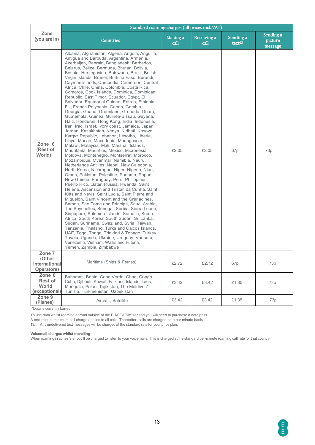|                                                 | Standard roaming charges (all prices incl. VAT)                                                                                                                                                                                                                                                                                                                                                                                                                                                                                                                                                                                                                                                                                                                                                                                                                                                                                                                                                                                                                                                                                                                                                                                                                                                                                                                                                                                                                                                                                                                                                                                                                                                                                                                                                                                                                                                                                                                |                  |                     |                                 |                                 |  |  |  |  |  |  |  |
|-------------------------------------------------|----------------------------------------------------------------------------------------------------------------------------------------------------------------------------------------------------------------------------------------------------------------------------------------------------------------------------------------------------------------------------------------------------------------------------------------------------------------------------------------------------------------------------------------------------------------------------------------------------------------------------------------------------------------------------------------------------------------------------------------------------------------------------------------------------------------------------------------------------------------------------------------------------------------------------------------------------------------------------------------------------------------------------------------------------------------------------------------------------------------------------------------------------------------------------------------------------------------------------------------------------------------------------------------------------------------------------------------------------------------------------------------------------------------------------------------------------------------------------------------------------------------------------------------------------------------------------------------------------------------------------------------------------------------------------------------------------------------------------------------------------------------------------------------------------------------------------------------------------------------------------------------------------------------------------------------------------------------|------------------|---------------------|---------------------------------|---------------------------------|--|--|--|--|--|--|--|
| Zone<br>(you are in)                            | <b>Countries</b>                                                                                                                                                                                                                                                                                                                                                                                                                                                                                                                                                                                                                                                                                                                                                                                                                                                                                                                                                                                                                                                                                                                                                                                                                                                                                                                                                                                                                                                                                                                                                                                                                                                                                                                                                                                                                                                                                                                                               | Making a<br>call | Receiving a<br>call | Sending a<br>text <sup>13</sup> | Sending a<br>picture<br>message |  |  |  |  |  |  |  |
| Zone 6<br>(Rest of<br>World)                    | Albania, Afghanistan, Algeria, Angola, Anguilla,<br>Antigua and Barbuda, Argentina, Armenia,<br>Azerbaijan, Bahrain, Bangladesh, Barbados,<br>Belarus, Belize, Bermuda, Bhutan, Bolivia,<br>Bosnia-Herzegovina, Botswana, Brazil, British<br>Virgin Islands, Brunei, Burkina Faso, Burundi,<br>Cayman islands, Cambodia, Cameroon, Central<br>Africa, Chile, China, Colombia, Costa Rica,<br>Comoros, Cook Islands, Dominica, Dominican<br>Republic, East Timor, Ecuador, Egypt, El<br>Salvador, Equatorial Guinea, Eritrea, Ethiopia,<br>Fiji, French Polynesia, Gabon, Gambia,<br>Georgia, Ghana, Greenland, Grenada, Guam,<br>Guatemala, Guinea, Guinea-Bissau, Guyana,<br>Haiti, Honduras, Hong Kong, India, Indonesia,<br>Iran, Iraq, Israel, Ivory coast, Jamaica, Japan,<br>Jordan, Kazakhstan, Kenya, Kiribati, Kosovo,<br>Kyrgyz Republic, Lebanon, Lesotho, Liberia,<br>Libya, Macao, Macedonia, Madagascar,<br>Malawi, Malaysia, Mali, Marshall Islands,<br>Mauritania, Mauritius, Mexico, Micronesia,<br>Moldova, Montenegro, Montserrat, Morocco,<br>Mozambique, Myanmar, Namibia, Nauru,<br>Netherlands Antilles, Nepal, New Caledonia,<br>North Korea, Nicaragua, Niger, Nigeria, Niue,<br>Oman, Pakistan, Palestine, Panama, Papua<br>New Guinea, Paraguay, Peru, Philippines,<br>Puerto Rico, Qatar, Russia, Rwanda, Saint<br>Helena, Ascension and Tristan da Cunha, Saint<br>Kitts and Nevis, Saint Lucia, Saint Pierre and<br>Miquelon, Saint Vincent and the Grenadines,<br>Samoa, Sao Tome and Principe, Saudi Arabia,<br>The Seychelles, Senegal, Serbia, Sierra Leone,<br>Singapore, Solomon Islands, Somalia, South<br>Africa, South Korea, South Sudan, Sri Lanka,<br>Sudan, Suriname, Swaziland, Syria, Taiwan,<br>Tanzania, Thailand, Turks and Caicos Islands,<br>UAE, Togo, Tonga, Trinidad & Tobago, Turkey,<br>Tuvalu, Uganda, Ukraine, Uruguay, Vanuatu,<br>Venezuela, Vietnam, Wallis and Futuna,<br>Yemen, Zambia, Zimbabwe | £2.05            | £2.05               | 67p                             | 73p                             |  |  |  |  |  |  |  |
| Zone 7<br>(Other<br>International<br>Operators) | Maritime (Ships & Ferries)                                                                                                                                                                                                                                                                                                                                                                                                                                                                                                                                                                                                                                                                                                                                                                                                                                                                                                                                                                                                                                                                                                                                                                                                                                                                                                                                                                                                                                                                                                                                                                                                                                                                                                                                                                                                                                                                                                                                     | £2.72            | £2.72               | 67p                             | 73p                             |  |  |  |  |  |  |  |
| Zone 8<br>Rest of<br>World<br>(exceptional)     | Bahamas, Benin, Cape Verde, Chad, Congo,<br>Cuba, Djibouti, Kuwait, Falkland Islands, Laos,<br>Mongolia, Palau, Tajikistan, The Maldives*,<br>Tunisia, Turkmenistan, Uzbekistan                                                                                                                                                                                                                                                                                                                                                                                                                                                                                                                                                                                                                                                                                                                                                                                                                                                                                                                                                                                                                                                                                                                                                                                                                                                                                                                                                                                                                                                                                                                                                                                                                                                                                                                                                                                | £3.42            | £3.42               | £1.35                           | 73p                             |  |  |  |  |  |  |  |
| Zone 9<br>(Planes)                              | Aircraft, Satellite                                                                                                                                                                                                                                                                                                                                                                                                                                                                                                                                                                                                                                                                                                                                                                                                                                                                                                                                                                                                                                                                                                                                                                                                                                                                                                                                                                                                                                                                                                                                                                                                                                                                                                                                                                                                                                                                                                                                            | £3.42            | £3.42               | £1.35                           | 73p                             |  |  |  |  |  |  |  |

\*Data is currently barred.

To use data whilst roaming abroad outside of the EU/EEA/Switzerland you will need to purchase a data pass.

A one-minute minimum call charge applies to all calls. Thereafter, calls are charged on a per minute basis.

13. Any undelivered text messages will be charged at the standard rate for your price plan.

#### **Voicemail charges whilst travelling**

When roaming in zones 3-8, you'll be charged to listen to your voicemails. This is charged at the standard per-minute roaming call rate for that country.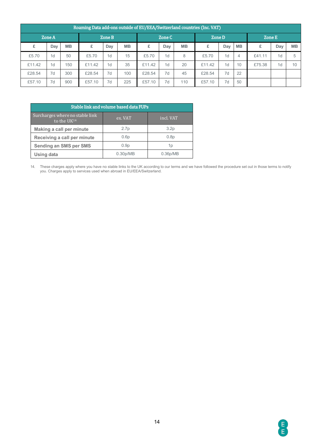|        | Roaming Data add-ons outside of EU/EEA/Switzerland countries (Inc. VAT) |           |                  |                |           |               |                |           |        |                |           |        |                |           |
|--------|-------------------------------------------------------------------------|-----------|------------------|----------------|-----------|---------------|----------------|-----------|--------|----------------|-----------|--------|----------------|-----------|
|        | Zone A                                                                  |           | Zone B<br>Zone C |                |           | <b>Zone D</b> |                |           | Zone E |                |           |        |                |           |
| £      | Day                                                                     | <b>MB</b> |                  | Day            | <b>MB</b> | £             | Day            | <b>MB</b> | £      | Day            | <b>MB</b> | £      | Day            | <b>MB</b> |
| £5.70  | 1 <sub>d</sub>                                                          | 50        | £5.70            | 1 <sub>d</sub> | 15        | £5.70         | 1 <sub>d</sub> | 8         | £5.70  | 1 <sub>d</sub> | 4         | £41.11 | 1 <sub>d</sub> |           |
| £11.42 | 1 <sub>d</sub>                                                          | 150       | £11.42           | 1 <sub>d</sub> | 35        | £11.42        | 1 <sub>d</sub> | 20        | £11.42 | 1 <sub>d</sub> | 10        | £75.38 | 1 <sub>d</sub> | 10        |
| £28.54 | 7d                                                                      | 300       | £28.54           | 7d             | 100       | £28.54        | 7d             | 45        | £28.54 | 7d             | 22        |        |                |           |
| £57.10 | 7d                                                                      | 900       | £57.10           | 7d             | 225       | £57.10        | 7d             | 110       | £57.10 | 7d             | 50        |        |                |           |

| Stable link and volume based data FUPs                     |                       |                  |  |  |  |  |
|------------------------------------------------------------|-----------------------|------------------|--|--|--|--|
| Surcharges where no stable link<br>to the UK <sup>14</sup> | ex. VAT               | incl. VAT        |  |  |  |  |
| Making a call per minute                                   | 2.7 <sub>p</sub>      | 3.2 <sub>p</sub> |  |  |  |  |
| Receiving a call per minute                                | 0.6p                  | 0.8p             |  |  |  |  |
| <b>Sending an SMS per SMS</b>                              | 0.9 <sub>p</sub>      | 1p               |  |  |  |  |
| Using data                                                 | 0.30 <sub>p</sub> /MB | 0.36p/MB         |  |  |  |  |

14. These charges apply where you have no stable links to the UK according to our terms and we have followed the procedure set out in those terms to notify you. Charges apply to services used when abroad in EU/EEA/Switzerland.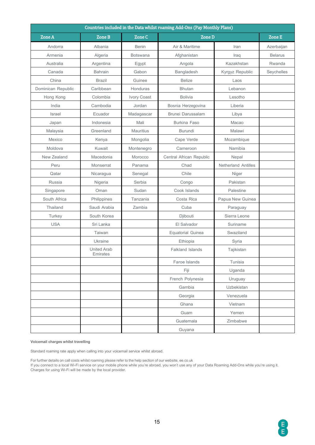| Countries included in the Data whilst roaming Add-Ons (Pay Monthly Plans) |                                |               |                          |                     |                |  |
|---------------------------------------------------------------------------|--------------------------------|---------------|--------------------------|---------------------|----------------|--|
| <b>Zone A</b>                                                             | <b>Zone B</b>                  | <b>Zone C</b> | <b>Zone D</b>            |                     | Zone E         |  |
| Andorra                                                                   | Albania                        | Benin         | Air & Maritime           | Iran                | Azerbaijan     |  |
| Armenia                                                                   | Algeria                        | Botswana      | Afghanistan              | Iraq                | <b>Belarus</b> |  |
| Australia                                                                 | Argentina                      | Egypt         | Angola                   | Kazakhstan          | Rwanda         |  |
| Canada                                                                    | <b>Bahrain</b>                 | Gabon         | Bangladesh               | Kyrgyz Republic     | Seychelles     |  |
| China                                                                     | <b>Brazil</b>                  | Guinee        | <b>Belize</b>            | Laos                |                |  |
| Dominican Republic                                                        | Caribbean                      | Honduras      | <b>Bhutan</b>            | Lebanon             |                |  |
| Hong Kong                                                                 | Colombia                       | Ivory Coast   | <b>Bolivia</b>           | Lesotho             |                |  |
| India                                                                     | Cambodia                       | Jordan        | Bosnia Herzegovina       | Liberia             |                |  |
| Israel                                                                    | Ecuador                        | Madagascar    | Brunei Darussalam        | Libya               |                |  |
| Japan                                                                     | Indonesia                      | Mali          | <b>Burkina Faso</b>      | Macao               |                |  |
| Malaysia                                                                  | Greenland                      | Mauritius     | <b>Burundi</b>           | Malawi              |                |  |
| Mexico                                                                    | Kenya                          | Mongolia      | Cape Verde               | Mozambique          |                |  |
| Moldova                                                                   | Kuwait                         | Montenegro    | Cameroon                 | Namibia             |                |  |
| New Zealand                                                               | Macedonia                      | Morocco       | Central African Republic | Nepal               |                |  |
| Peru                                                                      | Monserrat                      | Panama        | Chad                     | Netherland Antilles |                |  |
| Qatar                                                                     | Nicaragua                      | Senegal       | Chile                    | Niger               |                |  |
| Russia                                                                    | Nigeria                        | Serbia        | Congo                    | Pakistan            |                |  |
| Singapore                                                                 | Oman                           | Sudan         | Cook Islands             | Palestine           |                |  |
| South Africa                                                              | Philippines                    | Tanzania      | Costa Rica               | Papua New Guinea    |                |  |
| Thailand                                                                  | Saudi Arabia                   | Zambia        | Cuba                     | Paraguay            |                |  |
| Turkey                                                                    | South Korea                    |               | Djibouti                 | Sierra Leone        |                |  |
| <b>USA</b>                                                                | Sri Lanka                      |               | El Salvador              | Suriname            |                |  |
|                                                                           | Taiwan                         |               | <b>Equatorial Guinea</b> | Swaziland           |                |  |
|                                                                           | Ukraine                        |               | Ethiopia                 | Syria               |                |  |
|                                                                           | <b>United Arab</b><br>Emirates |               | Falkland Islands         | Tajikistan          |                |  |
|                                                                           |                                |               | Faroe Islands            | Tunisia             |                |  |
|                                                                           |                                |               | Fiji                     | Uganda              |                |  |
|                                                                           |                                |               | French Polynesia         | Uruguay             |                |  |
|                                                                           |                                |               | Gambia                   | Uzbekistan          |                |  |
|                                                                           |                                |               | Georgia                  | Venezuela           |                |  |
|                                                                           |                                |               | Ghana                    | Vietnam             |                |  |
|                                                                           |                                |               | Guam                     | Yemen               |                |  |
|                                                                           |                                |               | Guatemala                | Zimbabwe            |                |  |
|                                                                           |                                |               | Guyana                   |                     |                |  |

#### **Voicemail charges whilst travelling**

Standard roaming rate apply when calling into your voicemail service whilst abroad.

For further details on call costs whilst roaming please refer to the help section of our website, ee.co.uk If you connect to a local Wi-Fi service on your mobile phone while you're abroad, you won't use any of your Data Roaming Add-Ons while you're using it. Charges for using Wi-Fi will be made by the local provider.